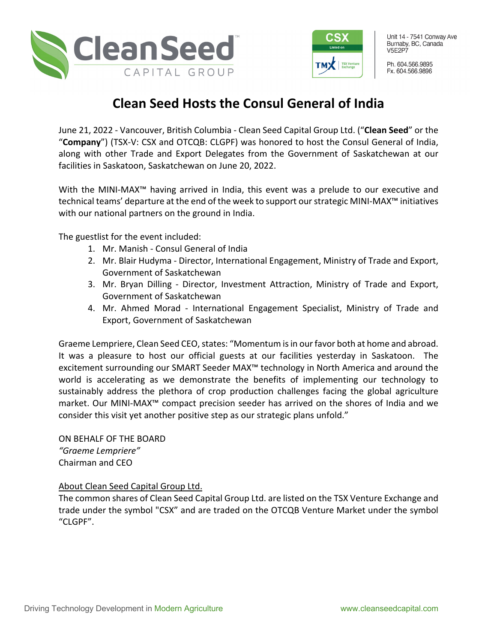



Unit 14 - 7541 Conway Ave Burnaby, BC, Canada **V5F2P7** 

Ph. 604.566.9895 Fx. 604.566.9896

## **Clean Seed Hosts the Consul General of India**

June 21, 2022 - Vancouver, British Columbia - Clean Seed Capital Group Ltd. ("**Clean Seed**" or the "**Company**") (TSX-V: CSX and OTCQB: CLGPF) was honored to host the Consul General of India, along with other Trade and Export Delegates from the Government of Saskatchewan at our facilities in Saskatoon, Saskatchewan on June 20, 2022.

With the MINI-MAX<sup>™</sup> having arrived in India, this event was a prelude to our executive and technical teams' departure at the end of the week to support our strategic MINI-MAX™ initiatives with our national partners on the ground in India.

The guestlist for the event included:

- 1. Mr. Manish Consul General of India
- 2. Mr. Blair Hudyma Director, International Engagement, Ministry of Trade and Export, Government of Saskatchewan
- 3. Mr. Bryan Dilling Director, Investment Attraction, Ministry of Trade and Export, Government of Saskatchewan
- 4. Mr. Ahmed Morad International Engagement Specialist, Ministry of Trade and Export, Government of Saskatchewan

Graeme Lempriere, Clean Seed CEO, states: "Momentum is in our favor both at home and abroad. It was a pleasure to host our official guests at our facilities yesterday in Saskatoon. The excitement surrounding our SMART Seeder MAX™ technology in North America and around the world is accelerating as we demonstrate the benefits of implementing our technology to sustainably address the plethora of crop production challenges facing the global agriculture market. Our MINI-MAX™ compact precision seeder has arrived on the shores of India and we consider this visit yet another positive step as our strategic plans unfold."

ON BEHALF OF THE BOARD *"Graeme Lempriere"* Chairman and CEO

## About Clean Seed Capital Group Ltd.

The common shares of Clean Seed Capital Group Ltd. are listed on the TSX Venture Exchange and trade under the symbol "CSX" and are traded on the OTCQB Venture Market under the symbol "CLGPF".